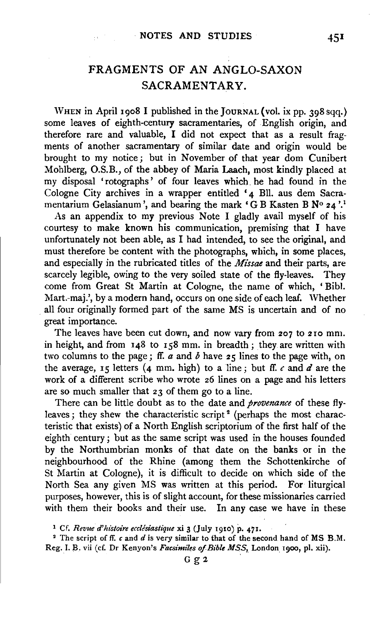# FRAGMENTS OF AN ANGLO-SAXON SACRAMENTARY.

WHEN in April 1908 I published in the JOURNAL (vol. ix pp. 398 sqq.) some leaves of eighth-century sacramentaries, of English origin, and therefore rare and valuable, I did not expect that as a result fragments of another sacramentary of similar date and origin would be brought to my notice; but in November of that year dom Cunibert Mohlberg, O.S.B., of the abbey of Maria Laach, most kindly placed at my disposal 'rotographs' of four leaves which. he had found in the Cologne City archives in a wrapper entitled '4 Bll. aus dem Sacramentarium Gelasianum', and bearing the mark 'GB Kasten B Nº 24'.<sup>1</sup>

As an appendix to my previous Note I gladly avail myself of his courtesy to make known his communication, premising that I have unfortunately not been able, as I had intended, to see the original, and must therefore be content with the photographs, which, in some places, and especially in the rubricated titles of the *Missae* and their parts, are scarcely legible, owing to the very soiled state of the fly-leaves. They come from Great St Martin at Cologne, the name of which, ' Bibl. Mart.-maj.', by a modern hand, occurs on one side of each leaf. Whether all four originally formed part of the same MS is uncertain and of no great importance.

The leaves have been cut down, and now vary from 207 to 210 mm. in height, and from 148 to 158 mm. in breadth; they are written with two columns to the page; ff. *a* and *b* have 25 lines to the page with, on the average,  $15$  letters (4 mm. high) to a line; but ff.  $c$  and  $d$  are the work of a different scribe who wrote 26 lines on a page and his letters are so much smaller that 23 of them go to a line.

There can be little doubt as to the date and *provenance* of these flyleaves; they shew the characteristic script<sup>2</sup> (perhaps the most characteristic that exists) of a North English scriptorium of the first half of the eighth century; but as the same script was used in the houses founded by the Northumbrian monks of that date on the banks or in the neighbourhood of the Rhine (among them the Schottenkirche of St Martin at Cologne), it is difficult to decide on which side of the North Sea any given MS was written at this period. For liturgical purposes, however, this is of slight account, for these missionaries carried with them their books and their use. In any case we have in these

<sup>1</sup> Cf. *Revue d'histoire ecclesiastique* xi 3 (July 1910) p. 471.

<sup>&</sup>lt;sup>2</sup> The script of ff. *c* and *d* is very similar to that of the second hand of MS B.M. Reg. I. B. vii (cf. Dr Kenyon's *Facsimiles of Bible MSS*, London 1900, pl. xii).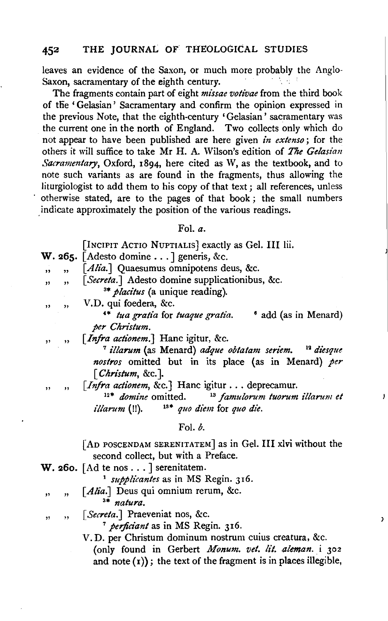### 452 THE JOURNAL OF THEOLOGICAL STUDIES

leaves an evidence of the Saxon, or much more probably the Anglo-Saxon, sacramentary of the eighth century.

The fragments contain part of eight *missae votivae* from the third book of the 'Gelasian' Sacramentary and confirm the opinion expressed in the previous Note, that the eighth-century 'Gelasian' sacramentary was the current one in the north of England. Two collects only which do not appear to have been published are here given *in extenso;* for the others it will suffice to take Mr H. A. Wilson's edition of *The Gelasian Sacramentary,* Oxford, 1894, here cited as W, as the textbook, and to note such variants as are found in the fragments, thus allowing the liturgiologist to add them to his copy of that text; all references, unless otherwise stated, are to the pages of that book ; the small numbers . indicate approximately the position of the various readings.

### Fol. *a.*

|                         |                         | [INCIPIT ACTIO NUPTIALIS] exactly as Gel. III lii.<br><b>W. 265.</b> [Adesto domine $\ldots$ ] generis, &c.                                                                |
|-------------------------|-------------------------|----------------------------------------------------------------------------------------------------------------------------------------------------------------------------|
|                         |                         |                                                                                                                                                                            |
| $\overline{\mathbf{v}}$ | $\overline{\mathbf{r}}$ | [Alia.] Quaesumus omnipotens deus, &c.                                                                                                                                     |
| ,,                      | ,,                      | [Secreta.] Adesto domine supplicationibus, &c.<br><sup>3*</sup> <i>placitus</i> (a unique reading).                                                                        |
| ,,                      | ,,                      | V.D. qui foedera, &c.                                                                                                                                                      |
|                         |                         | <sup>4*</sup> tua gratia for tuaque gratia.<br><i>d</i> add (as in Menard)<br>per Christum.                                                                                |
|                         | , ,                     | [Infra actionem.] Hanc igitur, &c.                                                                                                                                         |
| ,,                      |                         | <sup>7</sup> illarum (as Menard) adque obtatam seriem. <sup>12</sup> diesque<br>nostros omitted but in its place (as in Menard) per                                        |
|                         |                         | $\lceil$ Christum, &c.].                                                                                                                                                   |
|                         |                         |                                                                                                                                                                            |
| ,,                      | $\overline{\mathbf{u}}$ | [Infra actionem, &c.] Hanc igitur deprecamur.<br>$12*$ <i>domine</i> omitted.<br><sup>13</sup> famulorum tuorum illarum et<br>$13*$ quo diem for quo die.<br>illarum (!!). |
|                         |                         | Fol. $\mathfrak{b}$ .                                                                                                                                                      |
|                         |                         | [AD POSCENDAM SERENITATEM] as in Gel. III xlvi without the<br>second collect, but with a Preface.                                                                          |
|                         |                         | <b>W. 260.</b> [Ad te nos ] serenitatem.                                                                                                                                   |
|                         |                         | <sup>1</sup> supplicantes as in MS Regin. 316.                                                                                                                             |
| ,,                      | ,,                      | [Alia.] Deus qui omnium rerum, &c.                                                                                                                                         |
|                         |                         | <sup>3*</sup> natura.                                                                                                                                                      |
| ,,                      | ,                       | [Secreta.] Praeveniat nos, &c.                                                                                                                                             |
|                         |                         | <sup>7</sup> perficiant as in MS Regin. 316.                                                                                                                               |
|                         |                         | V.D. per Christum dominum nostrum cuius creatura, &c.                                                                                                                      |

j

 $\lambda$ 

(only found in Gerbert *Monum. vet. lit. aleman.* i 302 and note  $(r)$ ); the text of the fragment is in places illegible,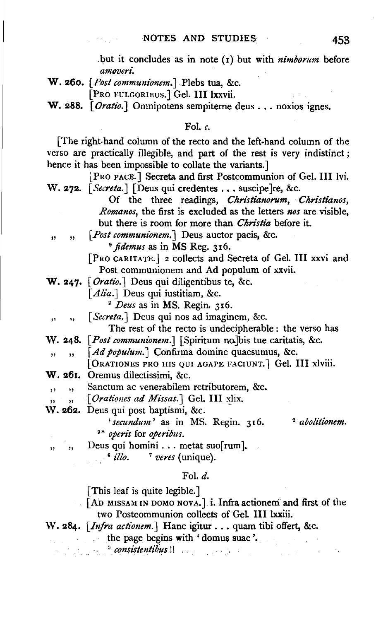.but it concludes as in note (1) but with *nimborum* before *amoveri.* 

W. 260. *[Post communionem.J* Plebs tua, &c.

(PRO FULGORIBUS.) Gel. JIJ lxxvii.

W. 288. [ *Oratio.]* Omnipotens sempiterne deus ... noxios ignes.

#### Fol. *c.*

[The right-hand column of the recto and the left-hand column of the verso are practically illegible, and part of the rest is very indistinct; hence it has been impossible to collate the variants.]

[PRO PACE.] Secreta and first Postcommunion of Gel. III lvi. W. 272. *[Secreta.] [Deus qui credentes ... suscipe]re, &c.* Of the three readings, *Ckristianorum, Christianos, Romanos,* the first is excluded as the letters *nos* are visible, but there is room for more than *Christia* before it. , , *[Post communionem.]* Deus auctor pacis, &c. 9 *ftdemus* as in MS Reg. 316. [PRo CARITATE.] 2 collects and Secreta of Gel. Ill xxvi and Post communionem and Ad populum of xxvii. W. 247· *[Oratio.]* Deus qui diligentibus te, &c. *[Alia.]* Deus qui iustitiam, &c. 2 *Deus* as in MS. Regin. 316. ,, ,, [Secreta.] Deus qui nos ad imaginem, &c. The rest of the recto is undecipherable: the verso has W. 248. [Post communionem.] [Spiritum no.]bis tue caritatis, &c. , , *[Ad populum.* J Confirma domine quaesumus, &c. (0RATIONES PRO HIS QUI AGAPE FACIUNT.] Gel. Ill xlviii. W. 261. Oremus dilectissimi, &c. , , Sanctum ac venerabilem retributorem, &c. , , *J. <i>Orationes ad Missas.* Gel. III xlix. W. 262. Deus qui post baptismi, &c. 'secundum' as in MS. Regin. 316. <sup>2</sup> abolitionem. <sup>2</sup> \* *operis* for *operibus.*   $\ldots$  , Deus qui homini  $\ldots$  metat suo[rum].<br>  $\frac{6}{100}$   $\ldots$  *7 veres* (unique). Fol. d. [This leaf is quite legible.]  $\sim$  [AD MISSAM IN DOMO NOVA.] i. Infra actionem and first of the two Postcommunion collects of Gel. Ill lxxiii. W. 284. *[Infra actionem.]* Hanc igitur . . . quam tibi offert, &c. the page begins with 'domus suae '.

**s** *consistentibus* !!